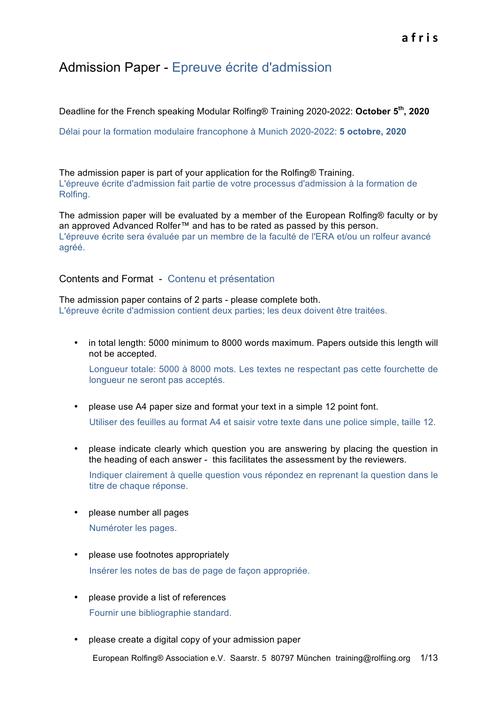# Admission Paper - Epreuve écrite d'admission

Deadline for the French speaking Modular Rolfing® Training 2020-2022: **October 5th, 2020**

Délai pour la formation modulaire francophone à Munich 2020-2022: **5 octobre, 2020**

The admission paper is part of your application for the Rolfing® Training. L'épreuve écrite d'admission fait partie de votre processus d'admission à la formation de Rolfing.

The admission paper will be evaluated by a member of the European Rolfing® faculty or by an approved Advanced Rolfer™ and has to be rated as passed by this person. L'épreuve écrite sera évaluée par un membre de la faculté de l'ERA et/ou un rolfeur avancé agréé.

## Contents and Format - Contenu et présentation

The admission paper contains of 2 parts - please complete both. L'épreuve écrite d'admission contient deux parties; les deux doivent être traitées.

• in total length: 5000 minimum to 8000 words maximum. Papers outside this length will not be accepted.

Longueur totale: 5000 à 8000 mots. Les textes ne respectant pas cette fourchette de longueur ne seront pas acceptés.

- please use A4 paper size and format your text in a simple 12 point font. Utiliser des feuilles au format A4 et saisir votre texte dans une police simple, taille 12.
- please indicate clearly which question you are answering by placing the question in the heading of each answer - this facilitates the assessment by the reviewers. Indiquer clairement à quelle question vous répondez en reprenant la question dans le titre de chaque réponse.
- please number all pages

Numéroter les pages.

- please use footnotes appropriately Insérer les notes de bas de page de façon appropriée.
- please provide a list of references Fournir une bibliographie standard.
- please create a digital copy of your admission paper

European Rolfing® Association e.V. Saarstr. 5 80797 München training@rolfiing.org 1/13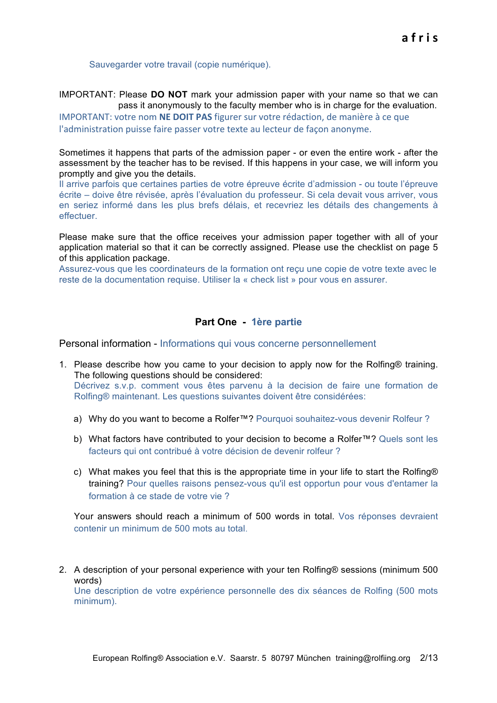Sauvegarder votre travail (copie numérique).

IMPORTANT: Please **DO NOT** mark your admission paper with your name so that we can pass it anonymously to the faculty member who is in charge for the evaluation.

IMPORTANT: votre nom **NE DOIT PAS** figurer sur votre rédaction, de manière à ce que l'administration puisse faire passer votre texte au lecteur de facon anonyme.

Sometimes it happens that parts of the admission paper - or even the entire work - after the assessment by the teacher has to be revised. If this happens in your case, we will inform you promptly and give you the details.

Il arrive parfois que certaines parties de votre épreuve écrite d'admission - ou toute l'épreuve écrite – doive être révisée, après l'évaluation du professeur. Si cela devait vous arriver, vous en seriez informé dans les plus brefs délais, et recevriez les détails des changements à effectuer.

Please make sure that the office receives your admission paper together with all of your application material so that it can be correctly assigned. Please use the checklist on page 5 of this application package.

Assurez-vous que les coordinateurs de la formation ont reçu une copie de votre texte avec le reste de la documentation requise. Utiliser la « check list » pour vous en assurer.

## **Part One - 1ère partie**

Personal information - Informations qui vous concerne personnellement

- 1. Please describe how you came to your decision to apply now for the Rolfing® training. The following questions should be considered: Décrivez s.v.p. comment vous êtes parvenu à la decision de faire une formation de Rolfing® maintenant. Les questions suivantes doivent être considérées:
	- a) Why do you want to become a Rolfer™? Pourquoi souhaitez-vous devenir Rolfeur ?
	- b) What factors have contributed to your decision to become a Rolfer™? Quels sont les facteurs qui ont contribué à votre décision de devenir rolfeur ?
	- c) What makes you feel that this is the appropriate time in your life to start the Rolfing® training? Pour quelles raisons pensez-vous qu'il est opportun pour vous d'entamer la formation à ce stade de votre vie ?

Your answers should reach a minimum of 500 words in total. Vos réponses devraient contenir un minimum de 500 mots au total.

2. A description of your personal experience with your ten Rolfing® sessions (minimum 500 words)

Une description de votre expérience personnelle des dix séances de Rolfing (500 mots minimum).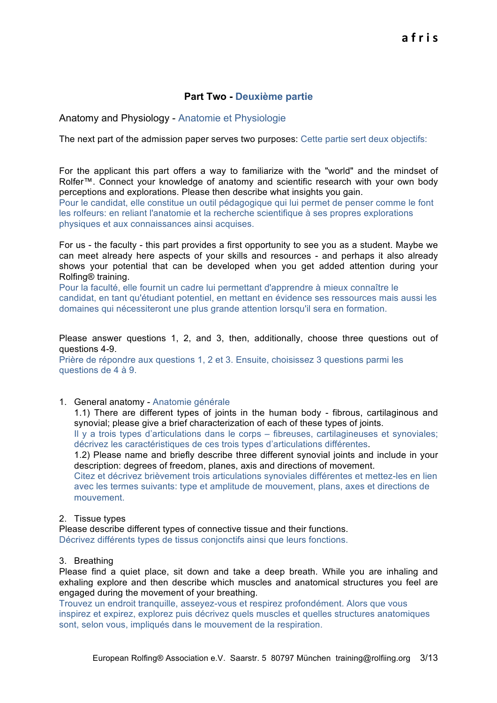# **Part Two - Deuxième partie**

## Anatomy and Physiology - Anatomie et Physiologie

The next part of the admission paper serves two purposes: Cette partie sert deux objectifs:

For the applicant this part offers a way to familiarize with the "world" and the mindset of Rolfer™. Connect your knowledge of anatomy and scientific research with your own body perceptions and explorations. Please then describe what insights you gain.

Pour le candidat, elle constitue un outil pédagogique qui lui permet de penser comme le font les rolfeurs: en reliant l'anatomie et la recherche scientifique à ses propres explorations physiques et aux connaissances ainsi acquises.

For us - the faculty - this part provides a first opportunity to see you as a student. Maybe we can meet already here aspects of your skills and resources - and perhaps it also already shows your potential that can be developed when you get added attention during your Rolfing® training.

Pour la faculté, elle fournit un cadre lui permettant d'apprendre à mieux connaître le candidat, en tant qu'étudiant potentiel, en mettant en évidence ses ressources mais aussi les domaines qui nécessiteront une plus grande attention lorsqu'il sera en formation.

Please answer questions 1, 2, and 3, then, additionally, choose three questions out of questions 4-9.

Prière de répondre aux questions 1, 2 et 3. Ensuite, choisissez 3 questions parmi les questions de 4 à 9.

1. General anatomy - Anatomie générale

1.1) There are different types of joints in the human body - fibrous, cartilaginous and synovial; please give a brief characterization of each of these types of joints.

Il y a trois types d'articulations dans le corps – fibreuses, cartilagineuses et synoviales; décrivez les caractéristiques de ces trois types d'articulations différentes.

1.2) Please name and briefly describe three different synovial joints and include in your description: degrees of freedom, planes, axis and directions of movement.

Citez et décrivez brièvement trois articulations synoviales différentes et mettez-les en lien avec les termes suivants: type et amplitude de mouvement, plans, axes et directions de mouvement.

### 2. Tissue types

Please describe different types of connective tissue and their functions. Décrivez différents types de tissus conjonctifs ainsi que leurs fonctions.

3. Breathing

Please find a quiet place, sit down and take a deep breath. While you are inhaling and exhaling explore and then describe which muscles and anatomical structures you feel are engaged during the movement of your breathing.

Trouvez un endroit tranquille, asseyez-vous et respirez profondément. Alors que vous inspirez et expirez, explorez puis décrivez quels muscles et quelles structures anatomiques sont, selon vous, impliqués dans le mouvement de la respiration.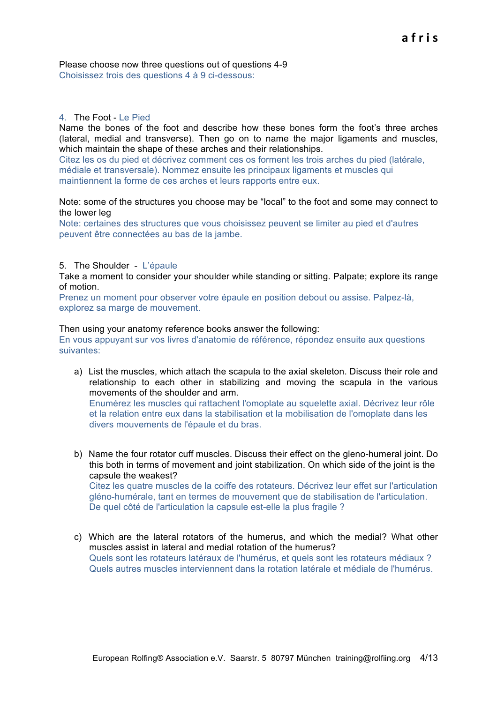Please choose now three questions out of questions 4-9 Choisissez trois des questions 4 à 9 ci-dessous:

### 4. The Foot - Le Pied

Name the bones of the foot and describe how these bones form the foot's three arches (lateral, medial and transverse). Then go on to name the major ligaments and muscles, which maintain the shape of these arches and their relationships.

Citez les os du pied et décrivez comment ces os forment les trois arches du pied (latérale, médiale et transversale). Nommez ensuite les principaux ligaments et muscles qui maintiennent la forme de ces arches et leurs rapports entre eux.

Note: some of the structures you choose may be "local" to the foot and some may connect to the lower leg

Note: certaines des structures que vous choisissez peuvent se limiter au pied et d'autres peuvent être connectées au bas de la jambe.

### 5. The Shoulder - L'épaule

Take a moment to consider your shoulder while standing or sitting. Palpate; explore its range of motion.

Prenez un moment pour observer votre épaule en position debout ou assise. Palpez-là, explorez sa marge de mouvement.

Then using your anatomy reference books answer the following: En vous appuyant sur vos livres d'anatomie de référence, répondez ensuite aux questions suivantes:

- a) List the muscles, which attach the scapula to the axial skeleton. Discuss their role and relationship to each other in stabilizing and moving the scapula in the various movements of the shoulder and arm. Enumérez les muscles qui rattachent l'omoplate au squelette axial. Décrivez leur rôle et la relation entre eux dans la stabilisation et la mobilisation de l'omoplate dans les divers mouvements de l'épaule et du bras.
- b) Name the four rotator cuff muscles. Discuss their effect on the gleno-humeral joint. Do this both in terms of movement and joint stabilization. On which side of the joint is the capsule the weakest? Citez les quatre muscles de la coiffe des rotateurs. Décrivez leur effet sur l'articulation gléno-humérale, tant en termes de mouvement que de stabilisation de l'articulation. De quel côté de l'articulation la capsule est-elle la plus fragile ?
- c) Which are the lateral rotators of the humerus, and which the medial? What other muscles assist in lateral and medial rotation of the humerus? Quels sont les rotateurs latéraux de l'humérus, et quels sont les rotateurs médiaux ? Quels autres muscles interviennent dans la rotation latérale et médiale de l'humérus.